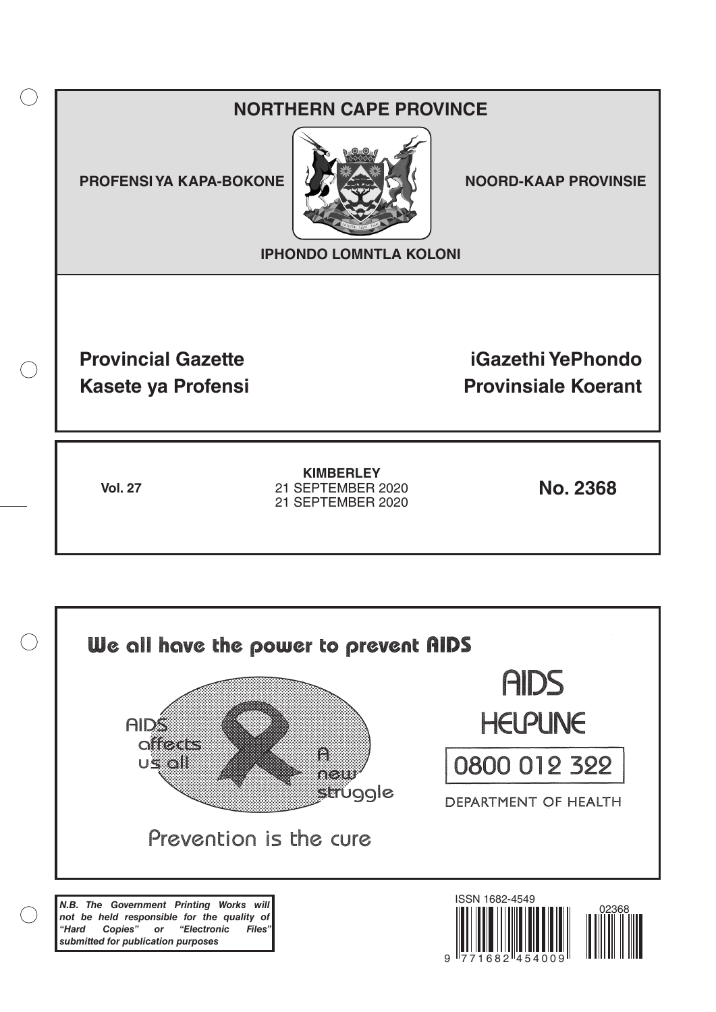## **NORTHERN CAPE PROVINCE**

**PROFENSI YA KAPA-BOKONE NOORD-KAAP PROVINSIE** 

 $($ )



**IPHONDO LOMNTLA KOLONI**

**Provincial Gazette iGazethi YePhondo Kasete ya Profensi Provinsiale Koerant** 

9 <sup>11</sup>771682 <sup>11</sup>454009

**Vol. 27 No. 2368** 21 SEPTEMBER 2020 **KIMBERLEY** 21 SEPTEMBER 2020

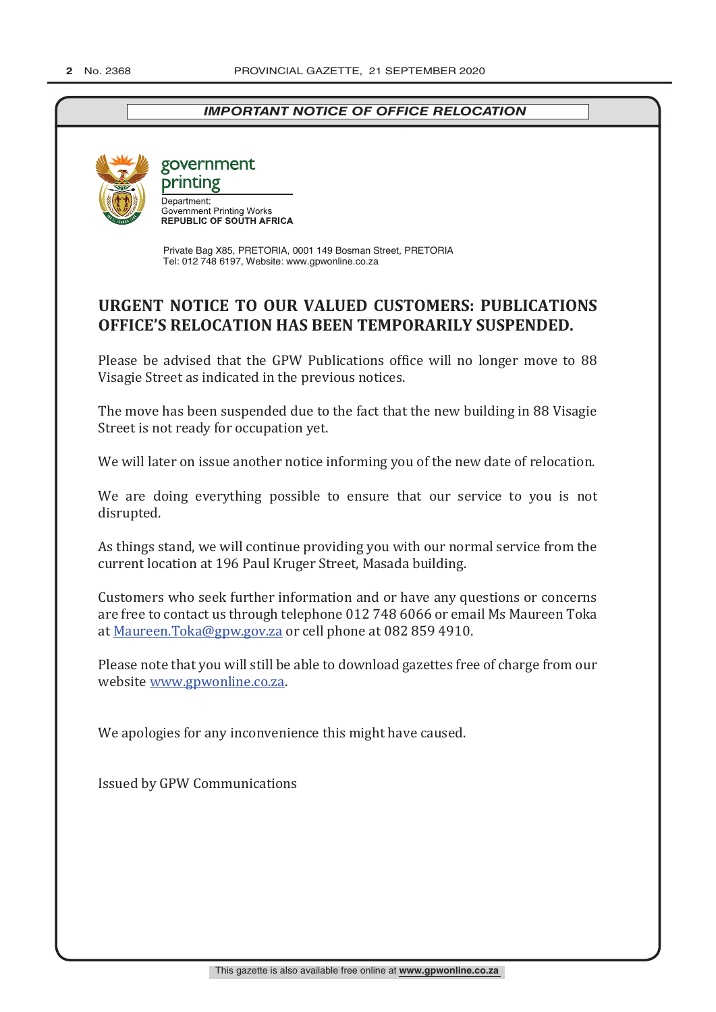## *IMPORTANT NOTICE OF OFFICE RELOCATION*



government printing

Department: Department.<br>Government Printing Works<br>REPUBLIC OF SOUTH AFRICA

Private Bag X85, PRETORIA, 0001 149 Bosman Street, PRETORIA Tel: 012 748 6197, Website: www.gpwonline.co.za

## **URGENT NOTICE TO OUR VALUED CUSTOMERS: PUBLICATIONS OFFICE'S RELOCATION HAS BEEN TEMPORARILY SUSPENDED.**

Please be advised that the GPW Publications office will no longer move to 88 Visagie Street as indicated in the previous notices.

The move has been suspended due to the fact that the new building in 88 Visagie Street is not ready for occupation yet.

We will later on issue another notice informing you of the new date of relocation.

We are doing everything possible to ensure that our service to you is not disrupted.

As things stand, we will continue providing you with our normal service from the current location at 196 Paul Kruger Street, Masada building.

Customers who seek further information and or have any questions or concerns are free to contact us through telephone 012 748 6066 or email Ms Maureen Toka at Maureen.Toka@gpw.gov.za or cell phone at 082 859 4910.

Please note that you will still be able to download gazettes free of charge from our website www.gpwonline.co.za.

We apologies for any inconvenience this might have caused.

Issued by GPW Communications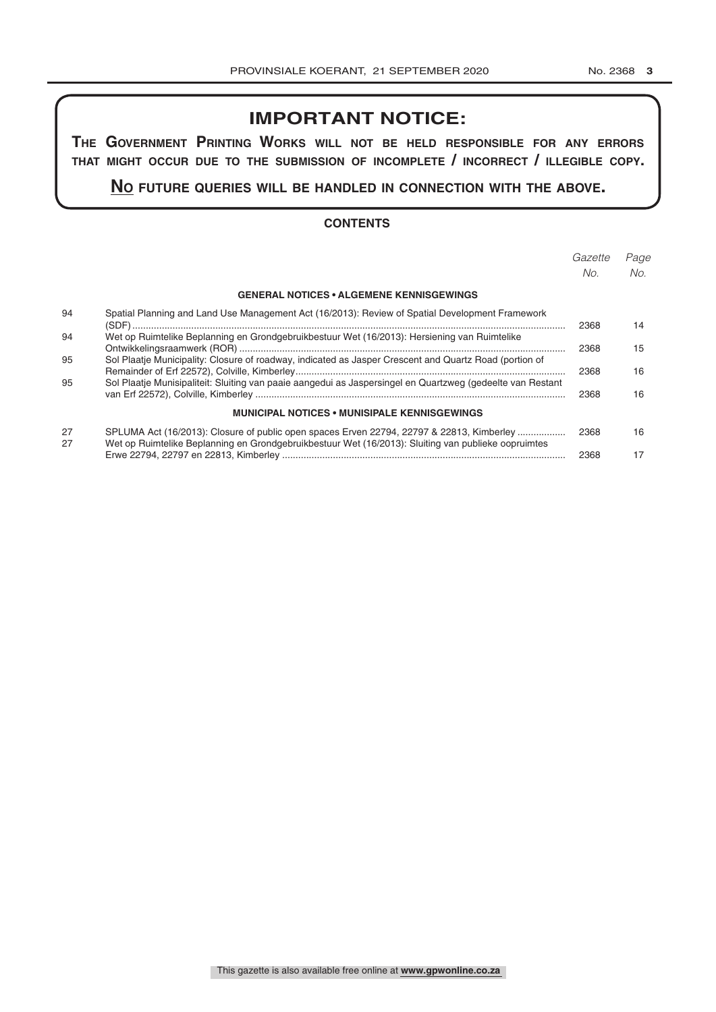## **IMPORTANT NOTICE:**

**The GovernmenT PrinTinG Works Will noT be held resPonsible for any errors ThaT miGhT occur due To The submission of incomPleTe / incorrecT / illeGible coPy.**

**no fuTure queries Will be handled in connecTion WiTh The above.**

#### **CONTENTS**

|          |                                                                                                                                                                                                  | Gazette | Page |
|----------|--------------------------------------------------------------------------------------------------------------------------------------------------------------------------------------------------|---------|------|
|          |                                                                                                                                                                                                  | No.     | No.  |
|          | <b>GENERAL NOTICES • ALGEMENE KENNISGEWINGS</b>                                                                                                                                                  |         |      |
| 94       | Spatial Planning and Land Use Management Act (16/2013): Review of Spatial Development Framework                                                                                                  | 2368    | 14   |
| 94       | Wet op Ruimtelike Beplanning en Grondgebruikbestuur Wet (16/2013): Hersiening van Ruimtelike                                                                                                     | 2368    | 15   |
| 95       | Sol Plaatje Municipality: Closure of roadway, indicated as Jasper Crescent and Quartz Road (portion of                                                                                           | 2368    | 16   |
| 95       | Sol Plaatje Munisipaliteit: Sluiting van paaie aangedui as Jaspersingel en Quartzweg (gedeelte van Restant                                                                                       | 2368    | 16   |
|          | <b>MUNICIPAL NOTICES • MUNISIPALE KENNISGEWINGS</b>                                                                                                                                              |         |      |
| 27<br>27 | SPLUMA Act (16/2013): Closure of public open spaces Erven 22794, 22797 & 22813, Kimberley<br>Wet op Ruimtelike Beplanning en Grondgebruikbestuur Wet (16/2013): Sluiting van publieke oopruimtes | 2368    | 16   |
|          |                                                                                                                                                                                                  | 2368    | 17   |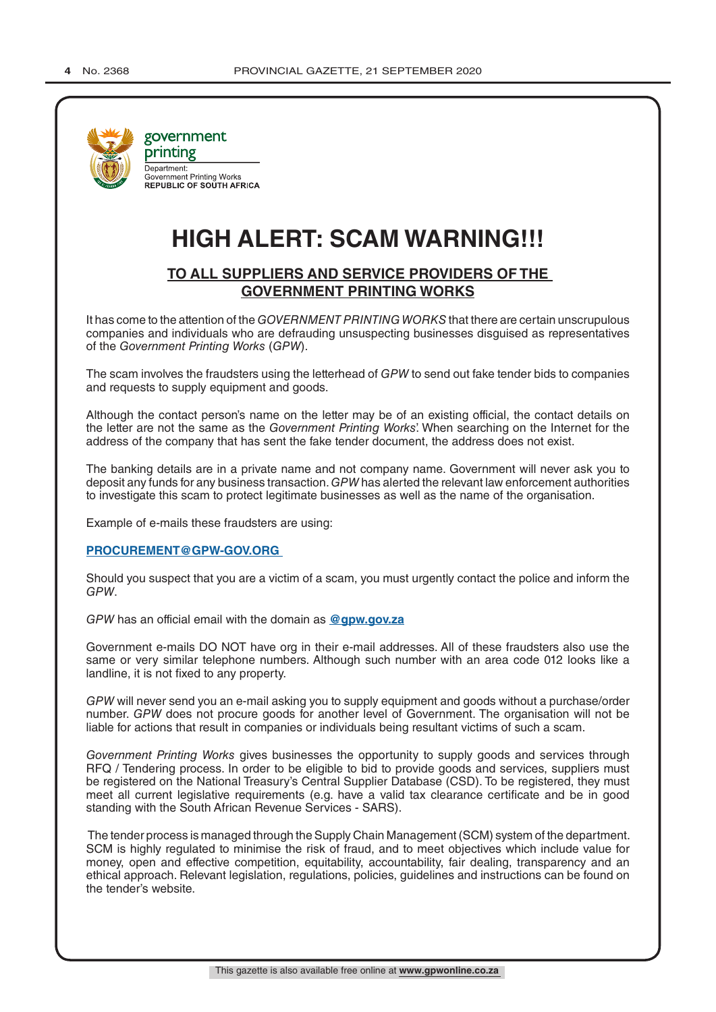

## **HIGH ALERT: SCAM WARNING!!!**

#### **TO ALL SUPPLIERS AND SERVICE PROVIDERS OF THE GOVERNMENT PRINTING WORKS**

It has come to the attention of the *GOVERNMENT PRINTING WORKS* that there are certain unscrupulous companies and individuals who are defrauding unsuspecting businesses disguised as representatives of the *Government Printing Works* (*GPW*).

The scam involves the fraudsters using the letterhead of *GPW* to send out fake tender bids to companies and requests to supply equipment and goods.

Although the contact person's name on the letter may be of an existing official, the contact details on the letter are not the same as the *Government Printing Works*'. When searching on the Internet for the address of the company that has sent the fake tender document, the address does not exist.

The banking details are in a private name and not company name. Government will never ask you to deposit any funds for any business transaction. *GPW* has alerted the relevant law enforcement authorities to investigate this scam to protect legitimate businesses as well as the name of the organisation.

Example of e-mails these fraudsters are using:

#### **PROCUREMENT@GPW-GOV.ORG**

Should you suspect that you are a victim of a scam, you must urgently contact the police and inform the *GPW*.

*GPW* has an official email with the domain as **@gpw.gov.za**

Government e-mails DO NOT have org in their e-mail addresses. All of these fraudsters also use the same or very similar telephone numbers. Although such number with an area code 012 looks like a landline, it is not fixed to any property.

*GPW* will never send you an e-mail asking you to supply equipment and goods without a purchase/order number. *GPW* does not procure goods for another level of Government. The organisation will not be liable for actions that result in companies or individuals being resultant victims of such a scam.

*Government Printing Works* gives businesses the opportunity to supply goods and services through RFQ / Tendering process. In order to be eligible to bid to provide goods and services, suppliers must be registered on the National Treasury's Central Supplier Database (CSD). To be registered, they must meet all current legislative requirements (e.g. have a valid tax clearance certificate and be in good standing with the South African Revenue Services - SARS).

 The tender process is managed through the Supply Chain Management (SCM) system of the department. SCM is highly regulated to minimise the risk of fraud, and to meet objectives which include value for money, open and effective competition, equitability, accountability, fair dealing, transparency and an ethical approach. Relevant legislation, regulations, policies, guidelines and instructions can be found on the tender's website.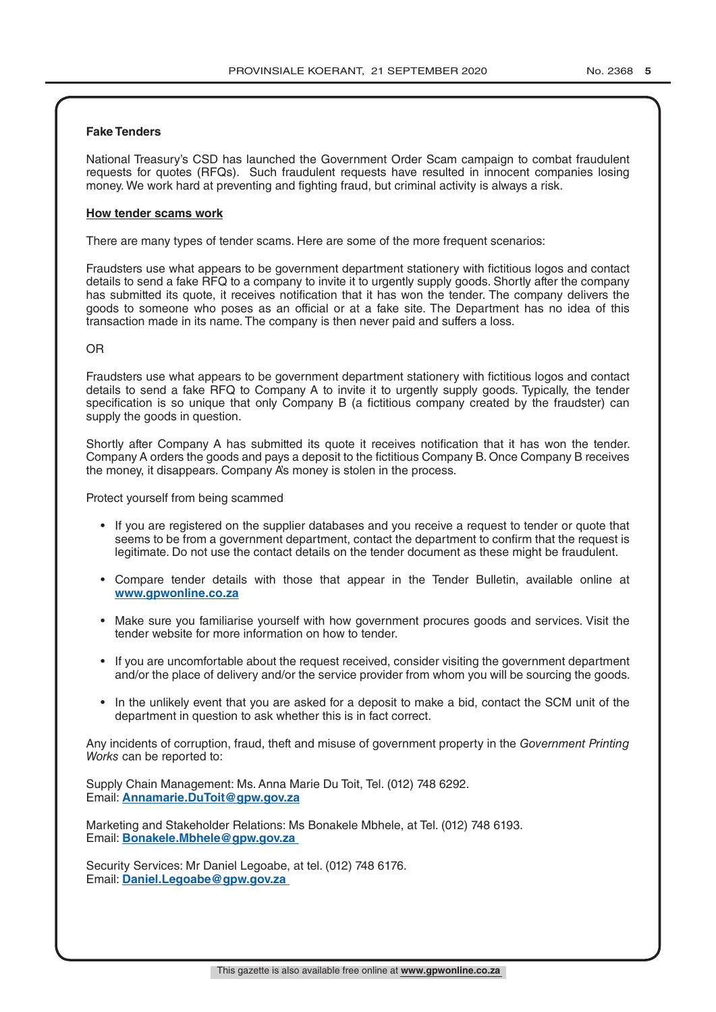#### **Fake Tenders**

National Treasury's CSD has launched the Government Order Scam campaign to combat fraudulent requests for quotes (RFQs). Such fraudulent requests have resulted in innocent companies losing money. We work hard at preventing and fighting fraud, but criminal activity is always a risk.

#### **How tender scams work**

There are many types of tender scams. Here are some of the more frequent scenarios:

Fraudsters use what appears to be government department stationery with fictitious logos and contact details to send a fake RFQ to a company to invite it to urgently supply goods. Shortly after the company has submitted its quote, it receives notification that it has won the tender. The company delivers the goods to someone who poses as an official or at a fake site. The Department has no idea of this transaction made in its name. The company is then never paid and suffers a loss.

#### OR

Fraudsters use what appears to be government department stationery with fictitious logos and contact details to send a fake RFQ to Company A to invite it to urgently supply goods. Typically, the tender specification is so unique that only Company B (a fictitious company created by the fraudster) can supply the goods in question.

Shortly after Company A has submitted its quote it receives notification that it has won the tender. Company A orders the goods and pays a deposit to the fictitious Company B. Once Company B receives the money, it disappears. Company A's money is stolen in the process.

Protect yourself from being scammed

- If you are registered on the supplier databases and you receive a request to tender or quote that seems to be from a government department, contact the department to confirm that the request is legitimate. Do not use the contact details on the tender document as these might be fraudulent.
- Compare tender details with those that appear in the Tender Bulletin, available online at **www.gpwonline.co.za**
- Make sure you familiarise yourself with how government procures goods and services. Visit the tender website for more information on how to tender.
- If you are uncomfortable about the request received, consider visiting the government department and/or the place of delivery and/or the service provider from whom you will be sourcing the goods.
- In the unlikely event that you are asked for a deposit to make a bid, contact the SCM unit of the department in question to ask whether this is in fact correct.

Any incidents of corruption, fraud, theft and misuse of government property in the *Government Printing Works* can be reported to:

Supply Chain Management: Ms. Anna Marie Du Toit, Tel. (012) 748 6292. Email: **Annamarie.DuToit@gpw.gov.za**

Marketing and Stakeholder Relations: Ms Bonakele Mbhele, at Tel. (012) 748 6193. Email: **Bonakele.Mbhele@gpw.gov.za** 

Security Services: Mr Daniel Legoabe, at tel. (012) 748 6176. Email: **Daniel.Legoabe@gpw.gov.za**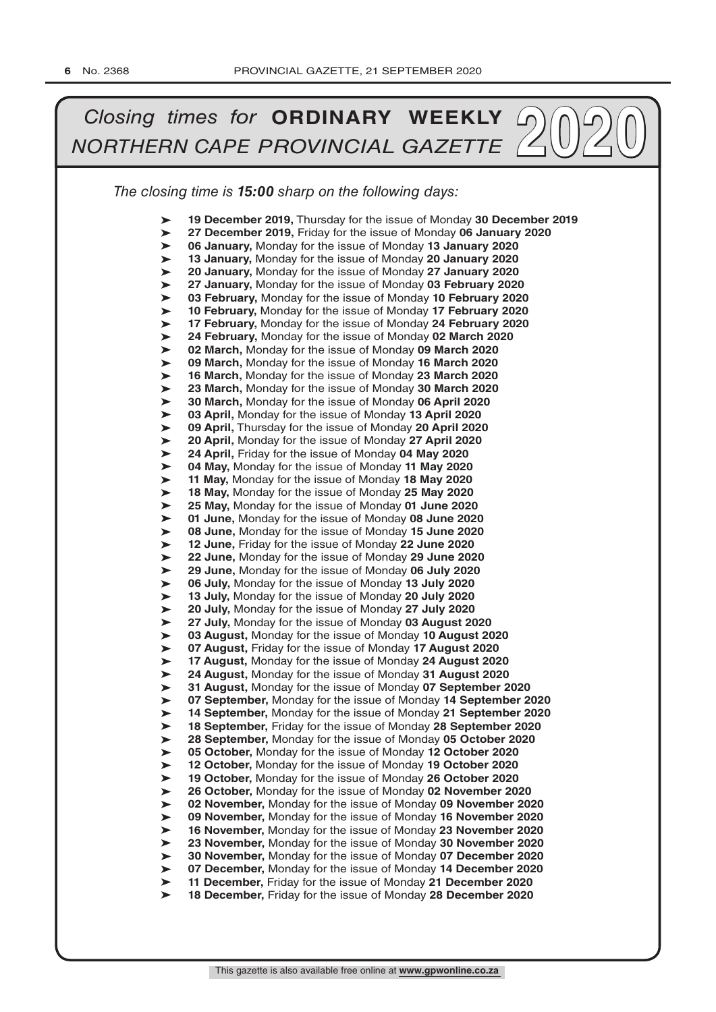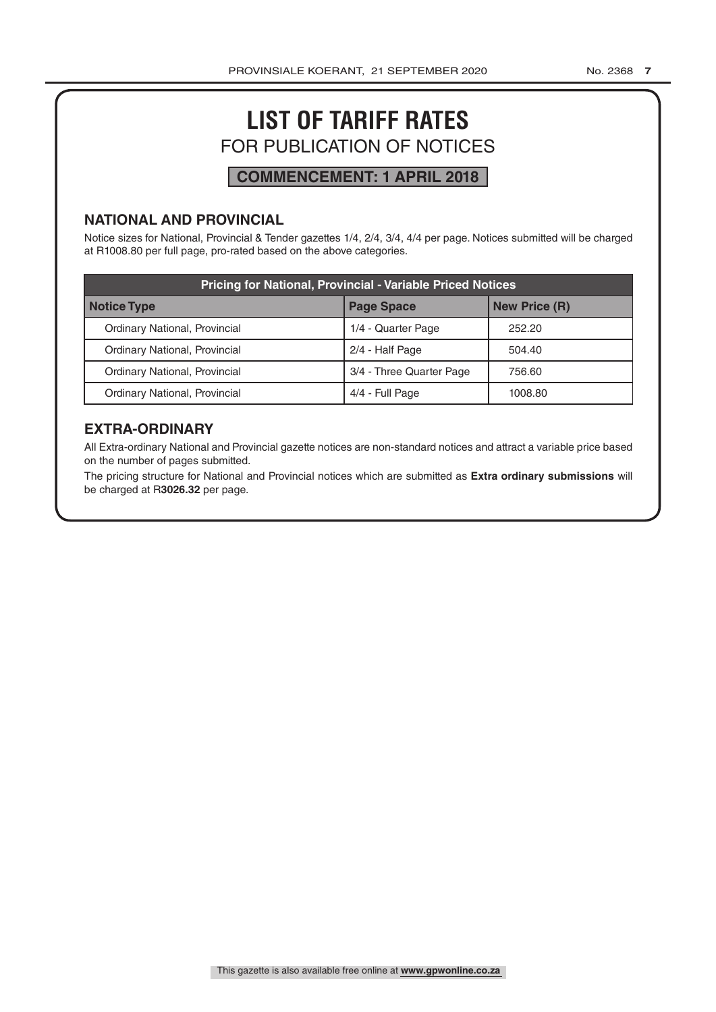# **LIST OF TARIFF RATES** FOR PUBLICATION OF NOTICES

## **COMMENCEMENT: 1 APRIL 2018**

#### **NATIONAL AND PROVINCIAL**

Notice sizes for National, Provincial & Tender gazettes 1/4, 2/4, 3/4, 4/4 per page. Notices submitted will be charged at R1008.80 per full page, pro-rated based on the above categories.

| <b>Pricing for National, Provincial - Variable Priced Notices</b> |                          |                      |  |
|-------------------------------------------------------------------|--------------------------|----------------------|--|
| Notice Type                                                       | <b>Page Space</b>        | <b>New Price (R)</b> |  |
| Ordinary National, Provincial                                     | 1/4 - Quarter Page       | 252.20               |  |
| Ordinary National, Provincial                                     | 2/4 - Half Page          | 504.40               |  |
| Ordinary National, Provincial                                     | 3/4 - Three Quarter Page | 756.60               |  |
| Ordinary National, Provincial                                     | 4/4 - Full Page          | 1008.80              |  |

### **EXTRA-ORDINARY**

All Extra-ordinary National and Provincial gazette notices are non-standard notices and attract a variable price based on the number of pages submitted.

The pricing structure for National and Provincial notices which are submitted as **Extra ordinary submissions** will be charged at R**3026.32** per page.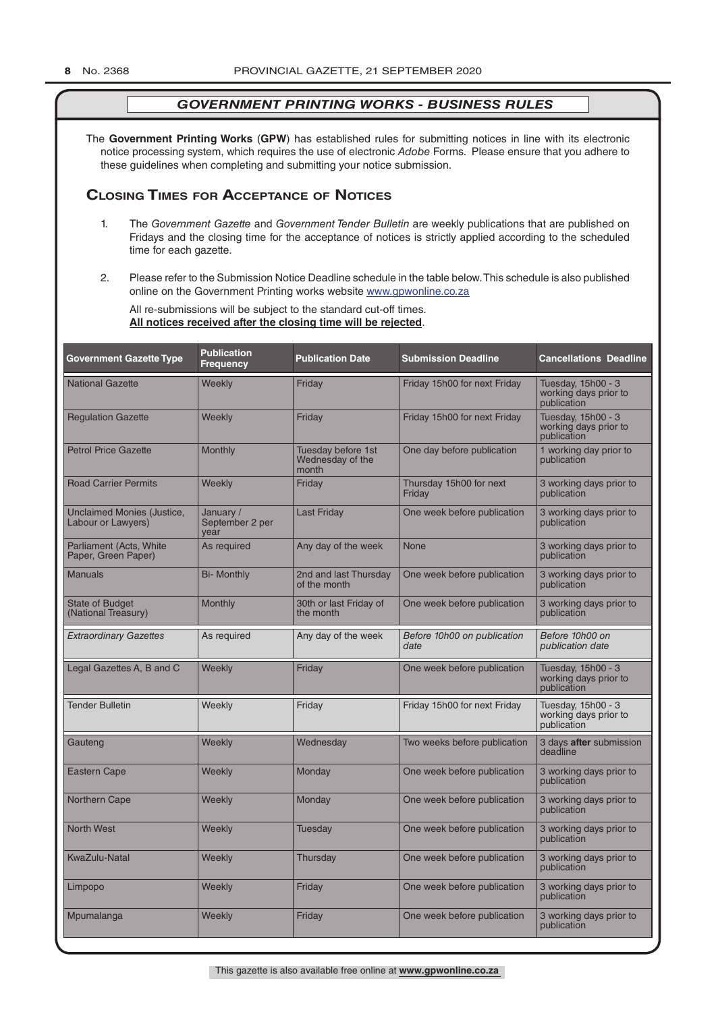The **Government Printing Works** (**GPW**) has established rules for submitting notices in line with its electronic notice processing system, which requires the use of electronic *Adobe* Forms. Please ensure that you adhere to these guidelines when completing and submitting your notice submission.

#### **Closing Times for ACCepTAnCe of noTiCes**

- 1. The *Government Gazette* and *Government Tender Bulletin* are weekly publications that are published on Fridays and the closing time for the acceptance of notices is strictly applied according to the scheduled time for each gazette.
- 2. Please refer to the Submission Notice Deadline schedule in the table below. This schedule is also published online on the Government Printing works website www.gpwonline.co.za

All re-submissions will be subject to the standard cut-off times. **All notices received after the closing time will be rejected**.

| <b>Government Gazette Type</b>                   | <b>Publication</b><br><b>Frequency</b> | <b>Publication Date</b>                         | <b>Submission Deadline</b>          | <b>Cancellations Deadline</b>                              |
|--------------------------------------------------|----------------------------------------|-------------------------------------------------|-------------------------------------|------------------------------------------------------------|
| <b>National Gazette</b>                          | Weekly                                 | Friday                                          | Friday 15h00 for next Friday        | Tuesday, 15h00 - 3<br>working days prior to<br>publication |
| <b>Regulation Gazette</b>                        | Weekly                                 | Friday                                          | Friday 15h00 for next Friday        | Tuesday, 15h00 - 3<br>working days prior to<br>publication |
| <b>Petrol Price Gazette</b>                      | Monthly                                | Tuesday before 1st<br>Wednesday of the<br>month | One day before publication          | 1 working day prior to<br>publication                      |
| <b>Road Carrier Permits</b>                      | Weekly                                 | Friday                                          | Thursday 15h00 for next<br>Friday   | 3 working days prior to<br>publication                     |
| Unclaimed Monies (Justice,<br>Labour or Lawyers) | January /<br>September 2 per<br>vear   | <b>Last Friday</b>                              | One week before publication         | 3 working days prior to<br>publication                     |
| Parliament (Acts, White<br>Paper, Green Paper)   | As required                            | Any day of the week                             | <b>None</b>                         | 3 working days prior to<br>publication                     |
| <b>Manuals</b>                                   | <b>Bi- Monthly</b>                     | 2nd and last Thursday<br>of the month           | One week before publication         | 3 working days prior to<br>publication                     |
| <b>State of Budget</b><br>(National Treasury)    | Monthly                                | 30th or last Friday of<br>the month             | One week before publication         | 3 working days prior to<br>publication                     |
| <b>Extraordinary Gazettes</b>                    | As required                            | Any day of the week                             | Before 10h00 on publication<br>date | Before 10h00 on<br>publication date                        |
| Legal Gazettes A, B and C                        | Weekly                                 | Friday                                          | One week before publication         | Tuesday, 15h00 - 3<br>working days prior to<br>publication |
| <b>Tender Bulletin</b>                           | Weekly                                 | Friday                                          | Friday 15h00 for next Friday        | Tuesday, 15h00 - 3<br>working days prior to<br>publication |
| Gauteng                                          | Weekly                                 | Wednesday                                       | Two weeks before publication        | 3 days after submission<br>deadline                        |
| <b>Eastern Cape</b>                              | Weekly                                 | Monday                                          | One week before publication         | 3 working days prior to<br>publication                     |
| Northern Cape                                    | Weekly                                 | Monday                                          | One week before publication         | 3 working days prior to<br>publication                     |
| <b>North West</b>                                | Weekly                                 | Tuesday                                         | One week before publication         | 3 working days prior to<br>publication                     |
| <b>KwaZulu-Natal</b>                             | Weekly                                 | Thursday                                        | One week before publication         | 3 working days prior to<br>publication                     |
| Limpopo                                          | Weekly                                 | Friday                                          | One week before publication         | 3 working days prior to<br>publication                     |
| Mpumalanga                                       | Weekly                                 | Friday                                          | One week before publication         | 3 working days prior to<br>publication                     |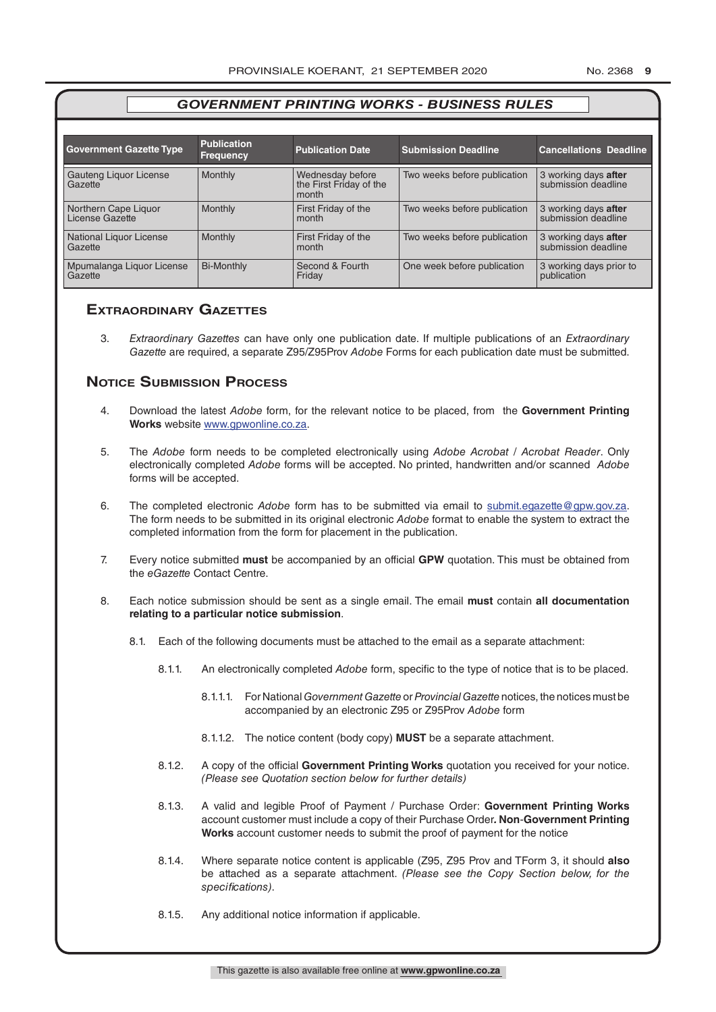|                                         | <b>Publication</b> |                                                      |                              |                                             |
|-----------------------------------------|--------------------|------------------------------------------------------|------------------------------|---------------------------------------------|
| <b>Government Gazette Type</b>          | <b>Frequency</b>   | <b>Publication Date</b>                              | <b>Submission Deadline</b>   | <b>Cancellations Deadline</b>               |
| Gauteng Liquor License<br>Gazette       | Monthly            | Wednesday before<br>the First Friday of the<br>month | Two weeks before publication | 3 working days after<br>submission deadline |
| Northern Cape Liquor<br>License Gazette | Monthly            | First Friday of the<br>month                         | Two weeks before publication | 3 working days after<br>submission deadline |
| National Liquor License<br>Gazette      | Monthly            | First Friday of the<br>month                         | Two weeks before publication | 3 working days after<br>submission deadline |
| Mpumalanga Liquor License<br>Gazette    | <b>Bi-Monthly</b>  | Second & Fourth<br>Friday                            | One week before publication  | 3 working days prior to<br>publication      |

#### **exTrAordinAry gAzeTTes**

3. *Extraordinary Gazettes* can have only one publication date. If multiple publications of an *Extraordinary Gazette* are required, a separate Z95/Z95Prov *Adobe* Forms for each publication date must be submitted.

#### **NOTICE SUBMISSION PROCESS**

- 4. Download the latest *Adobe* form, for the relevant notice to be placed, from the **Government Printing Works** website www.gpwonline.co.za.
- 5. The *Adobe* form needs to be completed electronically using *Adobe Acrobat* / *Acrobat Reader*. Only electronically completed *Adobe* forms will be accepted. No printed, handwritten and/or scanned *Adobe* forms will be accepted.
- 6. The completed electronic *Adobe* form has to be submitted via email to submit.egazette@gpw.gov.za. The form needs to be submitted in its original electronic *Adobe* format to enable the system to extract the completed information from the form for placement in the publication.
- 7. Every notice submitted **must** be accompanied by an official **GPW** quotation. This must be obtained from the *eGazette* Contact Centre.
- 8. Each notice submission should be sent as a single email. The email **must** contain **all documentation relating to a particular notice submission**.
	- 8.1. Each of the following documents must be attached to the email as a separate attachment:
		- 8.1.1. An electronically completed *Adobe* form, specific to the type of notice that is to be placed.
			- 8.1.1.1. For National *Government Gazette* or *Provincial Gazette* notices, the notices must be accompanied by an electronic Z95 or Z95Prov *Adobe* form
			- 8.1.1.2. The notice content (body copy) **MUST** be a separate attachment.
		- 8.1.2. A copy of the official **Government Printing Works** quotation you received for your notice. *(Please see Quotation section below for further details)*
		- 8.1.3. A valid and legible Proof of Payment / Purchase Order: **Government Printing Works** account customer must include a copy of their Purchase Order*.* **Non**-**Government Printing Works** account customer needs to submit the proof of payment for the notice
		- 8.1.4. Where separate notice content is applicable (Z95, Z95 Prov and TForm 3, it should **also** be attached as a separate attachment. *(Please see the Copy Section below, for the specifications)*.
		- 8.1.5. Any additional notice information if applicable.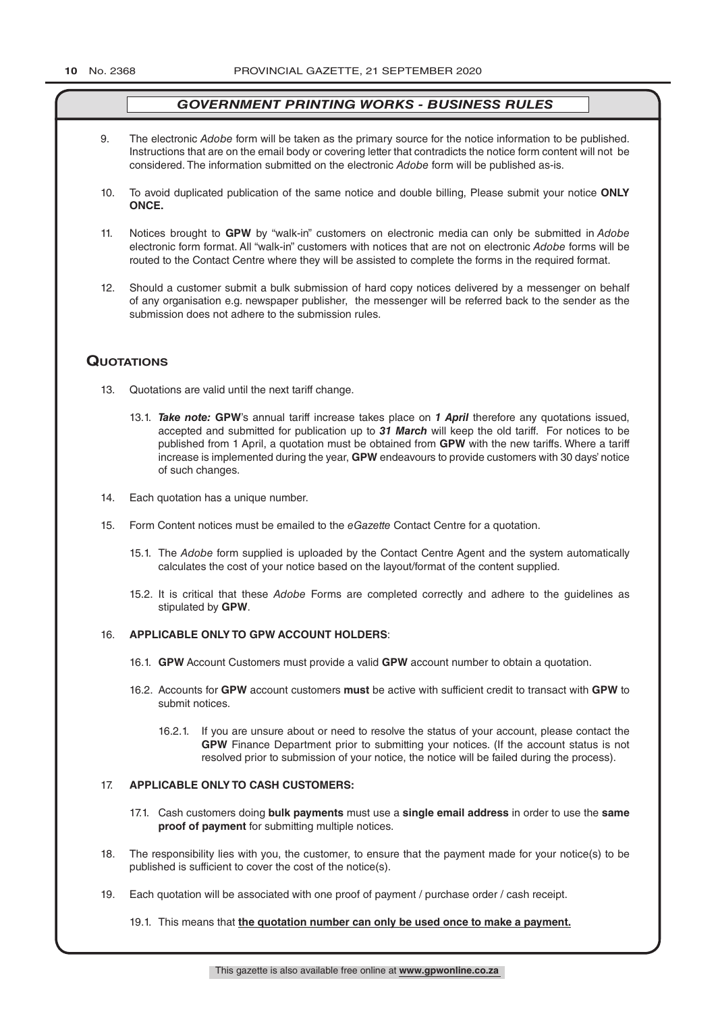- 9. The electronic *Adobe* form will be taken as the primary source for the notice information to be published. Instructions that are on the email body or covering letter that contradicts the notice form content will not be considered. The information submitted on the electronic *Adobe* form will be published as-is.
- 10. To avoid duplicated publication of the same notice and double billing, Please submit your notice **ONLY ONCE.**
- 11. Notices brought to **GPW** by "walk-in" customers on electronic media can only be submitted in *Adobe* electronic form format. All "walk-in" customers with notices that are not on electronic *Adobe* forms will be routed to the Contact Centre where they will be assisted to complete the forms in the required format.
- 12. Should a customer submit a bulk submission of hard copy notices delivered by a messenger on behalf of any organisation e.g. newspaper publisher, the messenger will be referred back to the sender as the submission does not adhere to the submission rules.

#### **QuoTATions**

- 13. Quotations are valid until the next tariff change.
	- 13.1. *Take note:* **GPW**'s annual tariff increase takes place on *1 April* therefore any quotations issued, accepted and submitted for publication up to *31 March* will keep the old tariff. For notices to be published from 1 April, a quotation must be obtained from **GPW** with the new tariffs. Where a tariff increase is implemented during the year, **GPW** endeavours to provide customers with 30 days' notice of such changes.
- 14. Each quotation has a unique number.
- 15. Form Content notices must be emailed to the *eGazette* Contact Centre for a quotation.
	- 15.1. The *Adobe* form supplied is uploaded by the Contact Centre Agent and the system automatically calculates the cost of your notice based on the layout/format of the content supplied.
	- 15.2. It is critical that these *Adobe* Forms are completed correctly and adhere to the guidelines as stipulated by **GPW**.

#### 16. **APPLICABLE ONLY TO GPW ACCOUNT HOLDERS**:

- 16.1. **GPW** Account Customers must provide a valid **GPW** account number to obtain a quotation.
- 16.2. Accounts for **GPW** account customers **must** be active with sufficient credit to transact with **GPW** to submit notices.
	- 16.2.1. If you are unsure about or need to resolve the status of your account, please contact the **GPW** Finance Department prior to submitting your notices. (If the account status is not resolved prior to submission of your notice, the notice will be failed during the process).

#### 17. **APPLICABLE ONLY TO CASH CUSTOMERS:**

- 17.1. Cash customers doing **bulk payments** must use a **single email address** in order to use the **same proof of payment** for submitting multiple notices.
- 18. The responsibility lies with you, the customer, to ensure that the payment made for your notice(s) to be published is sufficient to cover the cost of the notice(s).
- 19. Each quotation will be associated with one proof of payment / purchase order / cash receipt.

19.1. This means that **the quotation number can only be used once to make a payment.**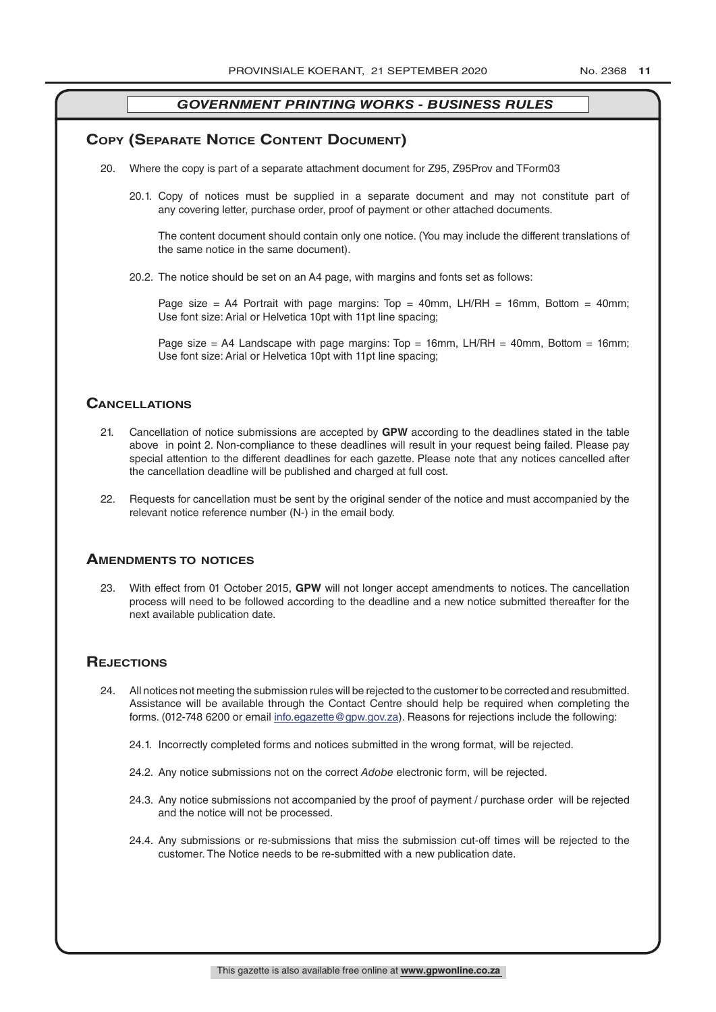#### **COPY (SEPARATE NOTICE CONTENT DOCUMENT)**

- 20. Where the copy is part of a separate attachment document for Z95, Z95Prov and TForm03
	- 20.1. Copy of notices must be supplied in a separate document and may not constitute part of any covering letter, purchase order, proof of payment or other attached documents.

The content document should contain only one notice. (You may include the different translations of the same notice in the same document).

20.2. The notice should be set on an A4 page, with margins and fonts set as follows:

Page size = A4 Portrait with page margins: Top = 40mm, LH/RH = 16mm, Bottom = 40mm; Use font size: Arial or Helvetica 10pt with 11pt line spacing;

Page size = A4 Landscape with page margins: Top = 16mm, LH/RH = 40mm, Bottom = 16mm; Use font size: Arial or Helvetica 10pt with 11pt line spacing;

#### **CAnCellATions**

- 21. Cancellation of notice submissions are accepted by **GPW** according to the deadlines stated in the table above in point 2. Non-compliance to these deadlines will result in your request being failed. Please pay special attention to the different deadlines for each gazette. Please note that any notices cancelled after the cancellation deadline will be published and charged at full cost.
- 22. Requests for cancellation must be sent by the original sender of the notice and must accompanied by the relevant notice reference number (N-) in the email body.

#### **AmendmenTs To noTiCes**

23. With effect from 01 October 2015, **GPW** will not longer accept amendments to notices. The cancellation process will need to be followed according to the deadline and a new notice submitted thereafter for the next available publication date.

#### **REJECTIONS**

- 24. All notices not meeting the submission rules will be rejected to the customer to be corrected and resubmitted. Assistance will be available through the Contact Centre should help be required when completing the forms. (012-748 6200 or email info.egazette@gpw.gov.za). Reasons for rejections include the following:
	- 24.1. Incorrectly completed forms and notices submitted in the wrong format, will be rejected.
	- 24.2. Any notice submissions not on the correct *Adobe* electronic form, will be rejected.
	- 24.3. Any notice submissions not accompanied by the proof of payment / purchase order will be rejected and the notice will not be processed.
	- 24.4. Any submissions or re-submissions that miss the submission cut-off times will be rejected to the customer. The Notice needs to be re-submitted with a new publication date.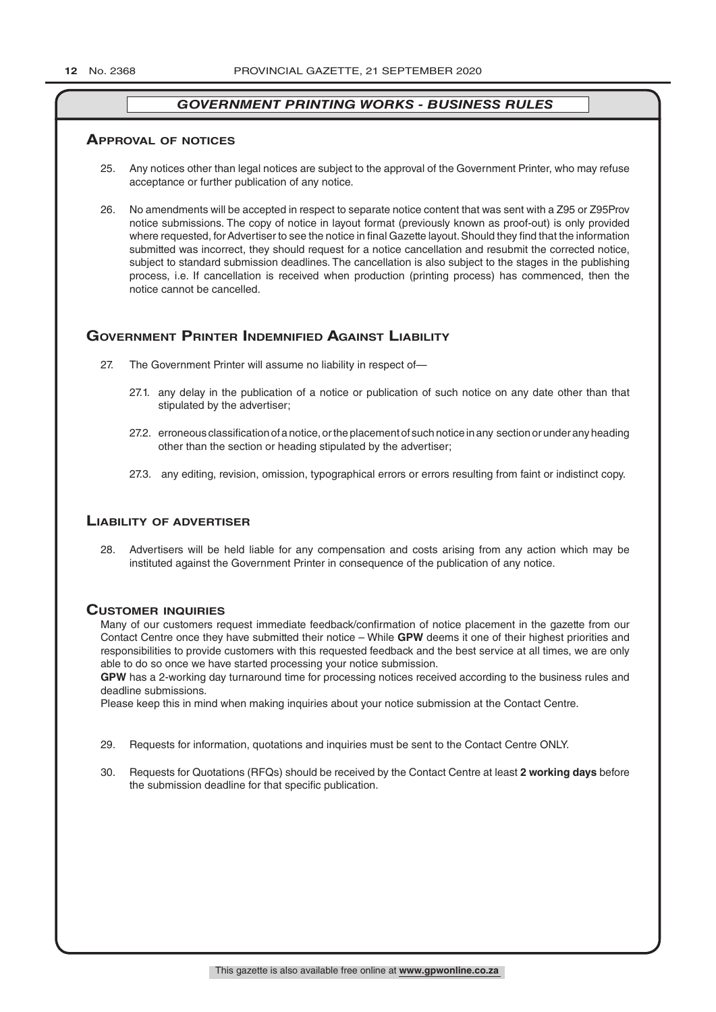#### **ApprovAl of noTiCes**

- 25. Any notices other than legal notices are subject to the approval of the Government Printer, who may refuse acceptance or further publication of any notice.
- 26. No amendments will be accepted in respect to separate notice content that was sent with a Z95 or Z95Prov notice submissions. The copy of notice in layout format (previously known as proof-out) is only provided where requested, for Advertiser to see the notice in final Gazette layout. Should they find that the information submitted was incorrect, they should request for a notice cancellation and resubmit the corrected notice, subject to standard submission deadlines. The cancellation is also subject to the stages in the publishing process, i.e. If cancellation is received when production (printing process) has commenced, then the notice cannot be cancelled.

#### **GOVERNMENT PRINTER INDEMNIFIED AGAINST LIABILITY**

- 27. The Government Printer will assume no liability in respect of—
	- 27.1. any delay in the publication of a notice or publication of such notice on any date other than that stipulated by the advertiser;
	- 27.2. erroneous classification of a notice, or the placement of such notice in any section or under any heading other than the section or heading stipulated by the advertiser;
	- 27.3. any editing, revision, omission, typographical errors or errors resulting from faint or indistinct copy.

#### **liAbiliTy of AdverTiser**

28. Advertisers will be held liable for any compensation and costs arising from any action which may be instituted against the Government Printer in consequence of the publication of any notice.

#### **CusTomer inQuiries**

Many of our customers request immediate feedback/confirmation of notice placement in the gazette from our Contact Centre once they have submitted their notice – While **GPW** deems it one of their highest priorities and responsibilities to provide customers with this requested feedback and the best service at all times, we are only able to do so once we have started processing your notice submission.

**GPW** has a 2-working day turnaround time for processing notices received according to the business rules and deadline submissions.

Please keep this in mind when making inquiries about your notice submission at the Contact Centre.

- 29. Requests for information, quotations and inquiries must be sent to the Contact Centre ONLY.
- 30. Requests for Quotations (RFQs) should be received by the Contact Centre at least **2 working days** before the submission deadline for that specific publication.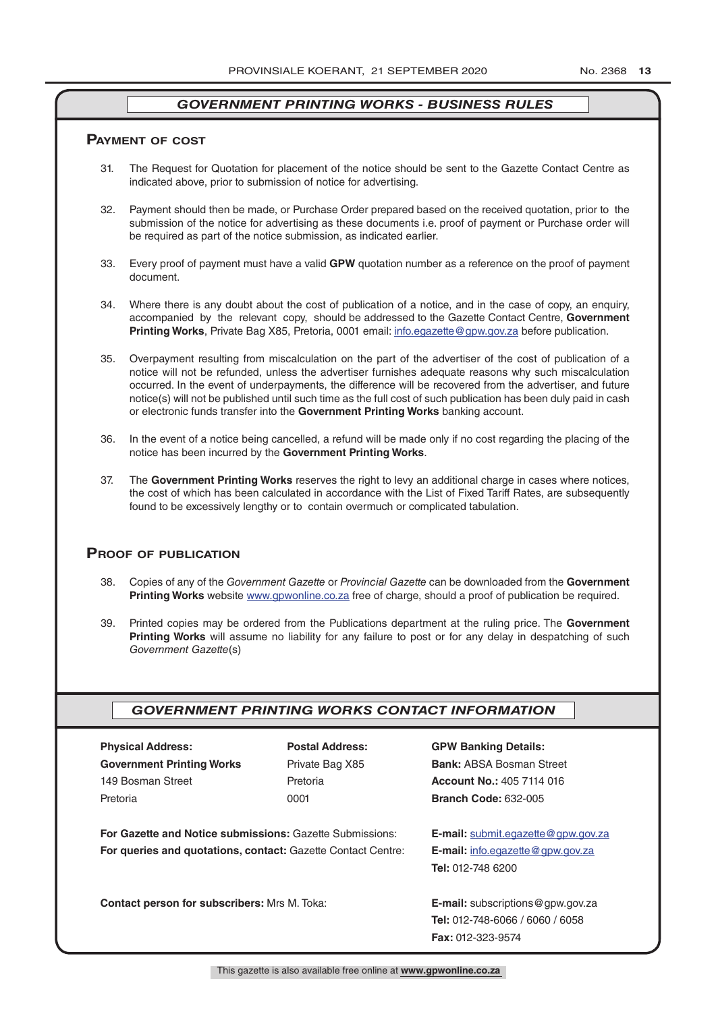#### **pAymenT of CosT**

- 31. The Request for Quotation for placement of the notice should be sent to the Gazette Contact Centre as indicated above, prior to submission of notice for advertising.
- 32. Payment should then be made, or Purchase Order prepared based on the received quotation, prior to the submission of the notice for advertising as these documents i.e. proof of payment or Purchase order will be required as part of the notice submission, as indicated earlier.
- 33. Every proof of payment must have a valid **GPW** quotation number as a reference on the proof of payment document.
- 34. Where there is any doubt about the cost of publication of a notice, and in the case of copy, an enquiry, accompanied by the relevant copy, should be addressed to the Gazette Contact Centre, **Government Printing Works**, Private Bag X85, Pretoria, 0001 email: info.egazette@gpw.gov.za before publication.
- 35. Overpayment resulting from miscalculation on the part of the advertiser of the cost of publication of a notice will not be refunded, unless the advertiser furnishes adequate reasons why such miscalculation occurred. In the event of underpayments, the difference will be recovered from the advertiser, and future notice(s) will not be published until such time as the full cost of such publication has been duly paid in cash or electronic funds transfer into the **Government Printing Works** banking account.
- 36. In the event of a notice being cancelled, a refund will be made only if no cost regarding the placing of the notice has been incurred by the **Government Printing Works**.
- 37. The **Government Printing Works** reserves the right to levy an additional charge in cases where notices, the cost of which has been calculated in accordance with the List of Fixed Tariff Rates, are subsequently found to be excessively lengthy or to contain overmuch or complicated tabulation.

#### **proof of publiCATion**

- 38. Copies of any of the *Government Gazette* or *Provincial Gazette* can be downloaded from the **Government Printing Works** website www.gpwonline.co.za free of charge, should a proof of publication be required.
- 39. Printed copies may be ordered from the Publications department at the ruling price. The **Government Printing Works** will assume no liability for any failure to post or for any delay in despatching of such *Government Gazette*(s)

#### *GOVERNMENT PRINTING WORKS CONTACT INFORMATION*

| <b>Physical Address:</b>                                            | <b>Postal Address:</b> | <b>GPW Banking Details:</b>               |  |
|---------------------------------------------------------------------|------------------------|-------------------------------------------|--|
| <b>Government Printing Works</b>                                    | Private Bag X85        | <b>Bank: ABSA Bosman Street</b>           |  |
| 149 Bosman Street                                                   | Pretoria               | <b>Account No.: 405 7114 016</b>          |  |
| Pretoria                                                            | 0001                   | <b>Branch Code: 632-005</b>               |  |
| <b>For Gazette and Notice submissions: Gazette Submissions:</b>     |                        | <b>E-mail:</b> submit.eqazette@gpw.gov.za |  |
| <b>For queries and quotations, contact: Gazette Contact Centre:</b> |                        | <b>E-mail:</b> info.egazette@gpw.gov.za   |  |
|                                                                     |                        | <b>Tel: 012-748 6200</b>                  |  |
| <b>Contact person for subscribers: Mrs M. Toka:</b>                 |                        | <b>E-mail:</b> subscriptions @gpw.gov.za  |  |
|                                                                     |                        | <b>Tel:</b> 012-748-6066 / 6060 / 6058    |  |
|                                                                     |                        | <b>Fax: 012-323-9574</b>                  |  |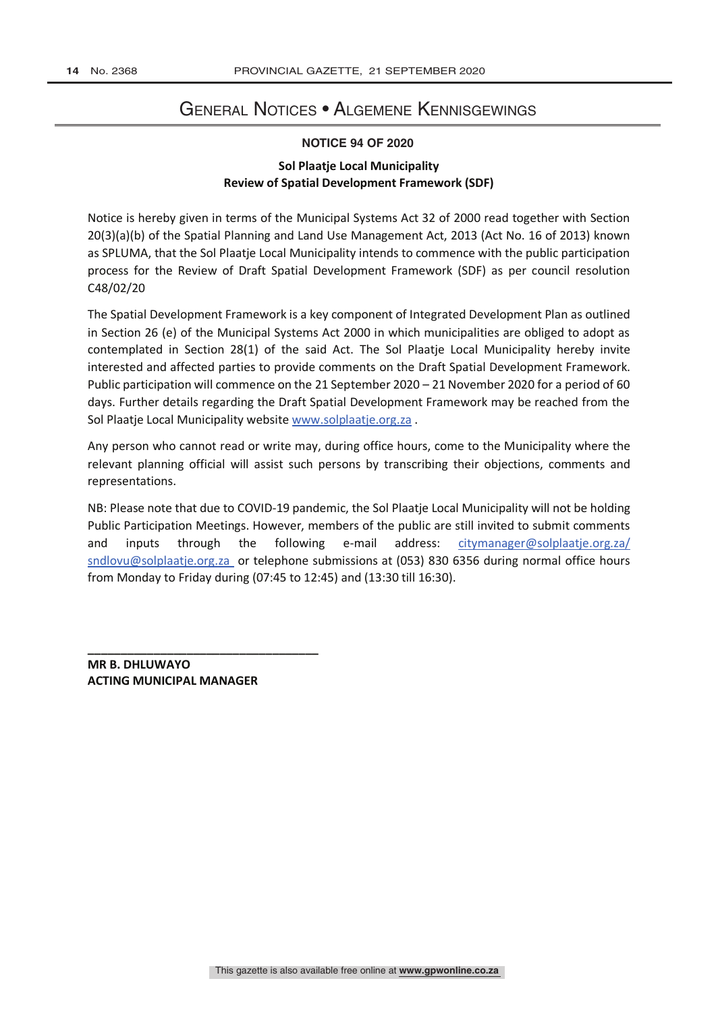## General Notices • Algemene Kennisgewings

#### **NOTICE 94 OF 2020**

#### **Sol Plaatje Local Municipality Review of Spatial Development Framework (SDF)**

Notice is hereby given in terms of the Municipal Systems Act 32 of 2000 read together with Section 20(3)(a)(b) of the Spatial Planning and Land Use Management Act, 2013 (Act No. 16 of 2013) known as SPLUMA, that the Sol Plaatje Local Municipality intends to commence with the public participation process for the Review of Draft Spatial Development Framework (SDF) as per council resolution C48/02/20

The Spatial Development Framework is a key component of Integrated Development Plan as outlined in Section 26 (e) of the Municipal Systems Act 2000 in which municipalities are obliged to adopt as contemplated in Section 28(1) of the said Act. The Sol Plaatje Local Municipality hereby invite interested and affected parties to provide comments on the Draft Spatial Development Framework. Public participation will commence on the 21 September 2020 – 21 November 2020 for a period of 60 days. Further details regarding the Draft Spatial Development Framework may be reached from the Sol Plaatje Local Municipality website www.solplaatje.org.za .

Any person who cannot read or write may, during office hours, come to the Municipality where the relevant planning official will assist such persons by transcribing their objections, comments and representations.

NB: Please note that due to COVID-19 pandemic, the Sol Plaatje Local Municipality will not be holding Public Participation Meetings. However, members of the public are still invited to submit comments and inputs through the following e-mail address: citymanager@solplaatje.org.za/ sndlovu@solplaatje.org.za or telephone submissions at (053) 830 6356 during normal office hours from Monday to Friday during (07:45 to 12:45) and (13:30 till 16:30).

**MR B. DHLUWAYO ACTING MUNICIPAL MANAGER** 

**\_\_\_\_\_\_\_\_\_\_\_\_\_\_\_\_\_\_\_\_\_\_\_\_\_\_\_\_\_\_\_\_\_\_\_**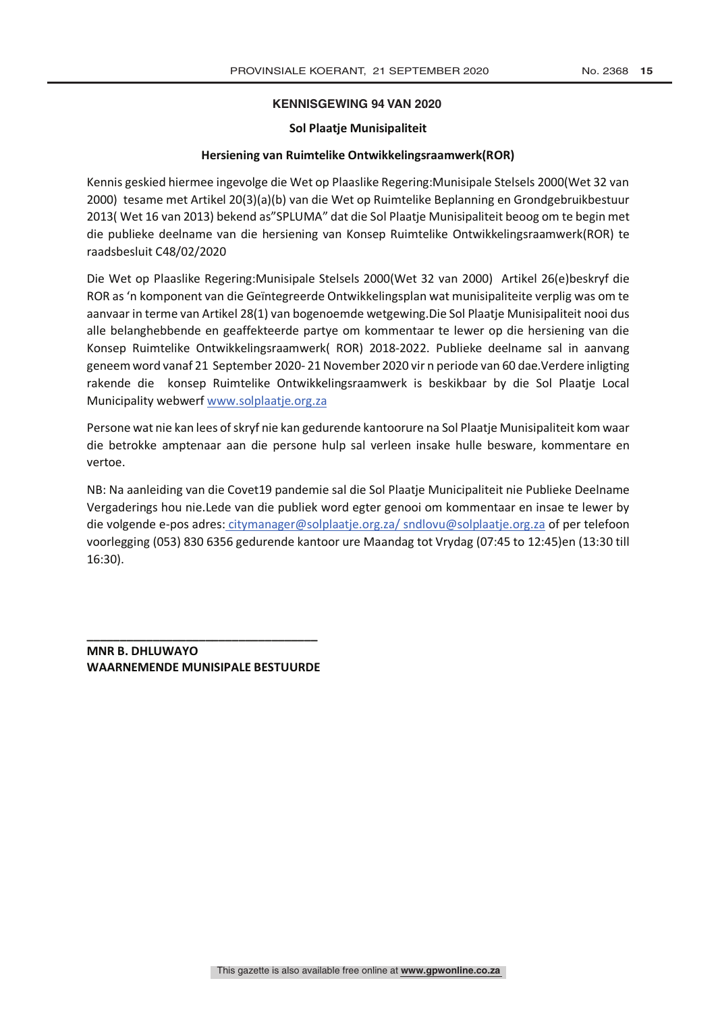#### **KENNISGEWING 94 VAN 2020**

#### **Sol Plaatje Munisipaliteit**

#### **Hersiening van Ruimtelike Ontwikkelingsraamwerk(ROR)**

Kennis geskied hiermee ingevolge die Wet op Plaaslike Regering:Munisipale Stelsels 2000(Wet 32 van 2000) tesame met Artikel 20(3)(a)(b) van die Wet op Ruimtelike Beplanning en Grondgebruikbestuur 2013( Wet 16 van 2013) bekend as"SPLUMA" dat die Sol Plaatje Munisipaliteit beoog om te begin met die publieke deelname van die hersiening van Konsep Ruimtelike Ontwikkelingsraamwerk(ROR) te raadsbesluit C48/02/2020

Die Wet op Plaaslike Regering:Munisipale Stelsels 2000(Wet 32 van 2000) Artikel 26(e)beskryf die ROR as 'n komponent van die Geïntegreerde Ontwikkelingsplan wat munisipaliteite verplig was om te aanvaar in terme van Artikel 28(1) van bogenoemde wetgewing.Die Sol Plaatje Munisipaliteit nooi dus alle belanghebbende en geaffekteerde partye om kommentaar te lewer op die hersiening van die Konsep Ruimtelike Ontwikkelingsraamwerk( ROR) 2018-2022. Publieke deelname sal in aanvang geneem word vanaf 21 September 2020- 21 November 2020 vir n periode van 60 dae.Verdere inligting rakende die konsep Ruimtelike Ontwikkelingsraamwerk is beskikbaar by die Sol Plaatje Local Municipality webwerf www.solplaatje.org.za

Persone wat nie kan lees of skryf nie kan gedurende kantoorure na Sol Plaatje Munisipaliteit kom waar die betrokke amptenaar aan die persone hulp sal verleen insake hulle besware, kommentare en vertoe.

NB: Na aanleiding van die Covet19 pandemie sal die Sol Plaatje Municipaliteit nie Publieke Deelname Vergaderings hou nie.Lede van die publiek word egter genooi om kommentaar en insae te lewer by die volgende e-pos adres: citymanager@solplaatje.org.za/ sndlovu@solplaatje.org.za of per telefoon voorlegging (053) 830 6356 gedurende kantoor ure Maandag tot Vrydag (07:45 to 12:45)en (13:30 till 16:30).

**MNR B. DHLUWAYO WAARNEMENDE MUNISIPALE BESTUURDE**

**\_\_\_\_\_\_\_\_\_\_\_\_\_\_\_\_\_\_\_\_\_\_\_\_\_\_\_\_\_\_\_\_\_\_\_**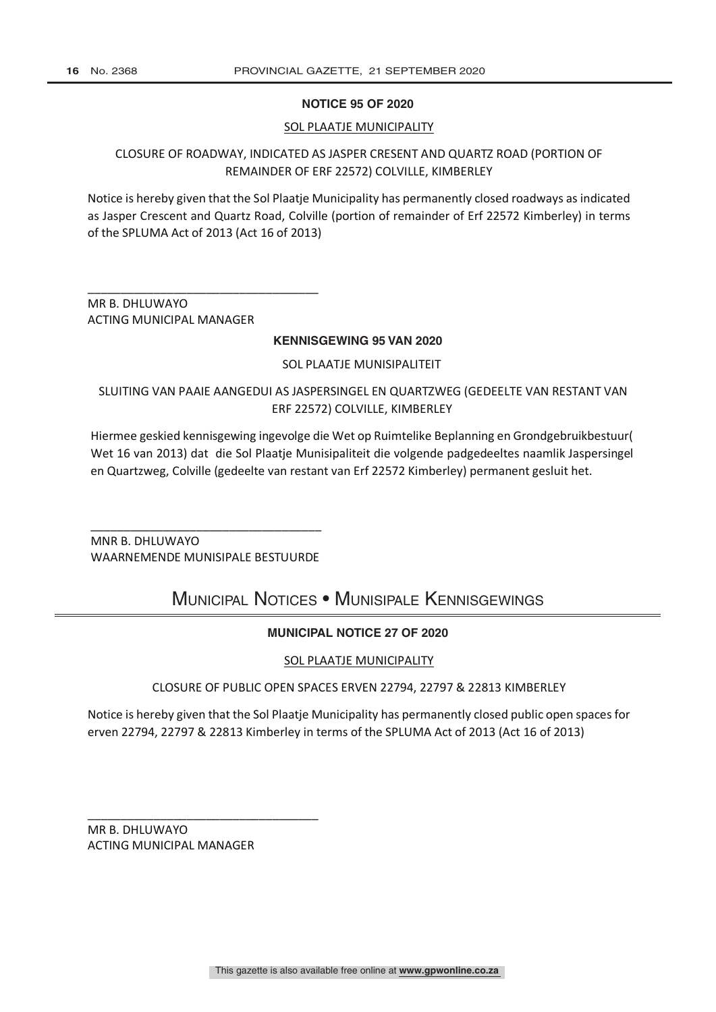#### **NOTICE 95 OF 2020**

#### SOL PLAATJE MUNICIPALITY

#### CLOSURE OF ROADWAY, INDICATED AS JASPER CRESENT AND QUARTZ ROAD (PORTION OF REMAINDER OF ERF 22572) COLVILLE, KIMBERLEY

Notice is hereby given that the Sol Plaatje Municipality has permanently closed roadways as indicated as Jasper Crescent and Quartz Road, Colville (portion of remainder of Erf 22572 Kimberley) in terms of the SPLUMA Act of 2013 (Act 16 of 2013)

MR B. DHLUWAYO ACTING MUNICIPAL MANAGER

\_\_\_\_\_\_\_\_\_\_\_\_\_\_\_\_\_\_\_\_\_\_\_\_\_\_\_\_\_\_\_\_\_\_\_

#### **KENNISGEWING 95 VAN 2020**

#### SOL PLAATJE MUNISIPALITEIT

SLUITING VAN PAAIE AANGEDUI AS JASPERSINGEL EN QUARTZWEG (GEDEELTE VAN RESTANT VAN ERF 22572) COLVILLE, KIMBERLEY

Hiermee geskied kennisgewing ingevolge die Wet op Ruimtelike Beplanning en Grondgebruikbestuur( Wet 16 van 2013) dat die Sol Plaatje Munisipaliteit die volgende padgedeeltes naamlik Jaspersingel en Quartzweg, Colville (gedeelte van restant van Erf 22572 Kimberley) permanent gesluit het.

\_\_\_\_\_\_\_\_\_\_\_\_\_\_\_\_\_\_\_\_\_\_\_\_\_\_\_\_\_\_\_\_\_\_\_ MNR B. DHLUWAYO WAARNEMENDE MUNISIPALE BESTUURDE

## Municipal Notices • Munisipale Kennisgewings

#### **MUNICIPAL NOTICE 27 OF 2020**

#### SOL PLAATJE MUNICIPALITY

#### CLOSURE OF PUBLIC OPEN SPACES ERVEN 22794, 22797 & 22813 KIMBERLEY

Notice is hereby given that the Sol Plaatje Municipality has permanently closed public open spaces for erven 22794, 22797 & 22813 Kimberley in terms of the SPLUMA Act of 2013 (Act 16 of 2013)

MR B. DHLUWAYO ACTING MUNICIPAL MANAGER

\_\_\_\_\_\_\_\_\_\_\_\_\_\_\_\_\_\_\_\_\_\_\_\_\_\_\_\_\_\_\_\_\_\_\_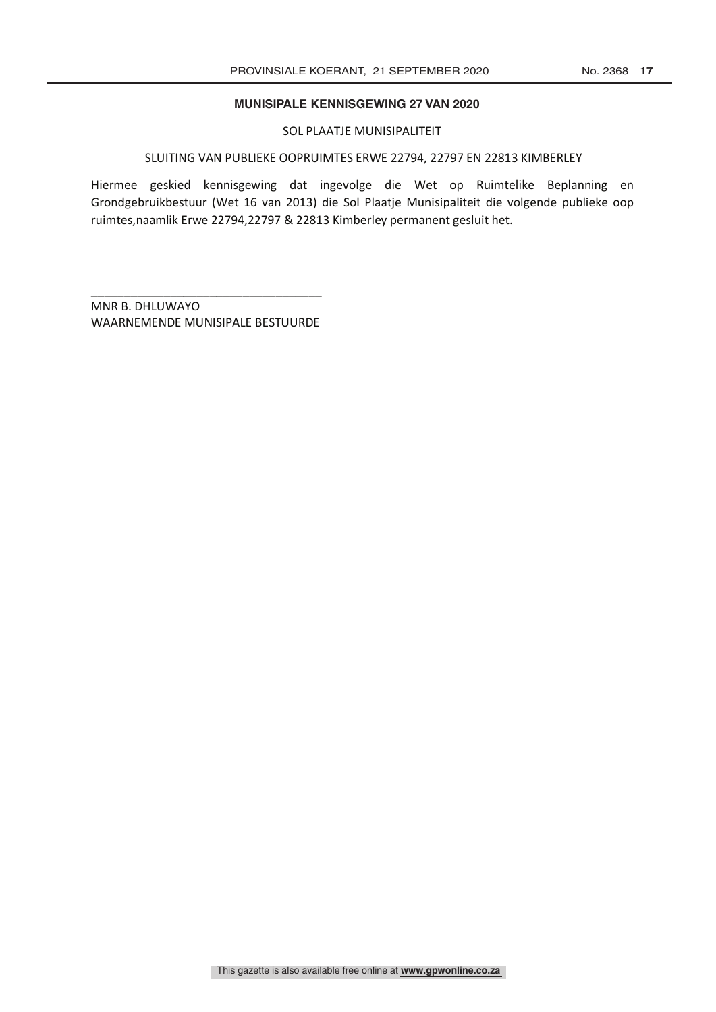#### **MUNISIPALE KENNISGEWING 27 VAN 2020**

SOL PLAATJE MUNISIPALITEIT

#### SLUITING VAN PUBLIEKE OOPRUIMTES ERWE 22794, 22797 EN 22813 KIMBERLEY

Hiermee geskied kennisgewing dat ingevolge die Wet op Ruimtelike Beplanning en Grondgebruikbestuur (Wet 16 van 2013) die Sol Plaatje Munisipaliteit die volgende publieke oop ruimtes,naamlik Erwe 22794,22797 & 22813 Kimberley permanent gesluit het.

\_\_\_\_\_\_\_\_\_\_\_\_\_\_\_\_\_\_\_\_\_\_\_\_\_\_\_\_\_\_\_\_\_\_\_ MNR B. DHLUWAYO WAARNEMENDE MUNISIPALE BESTUURDE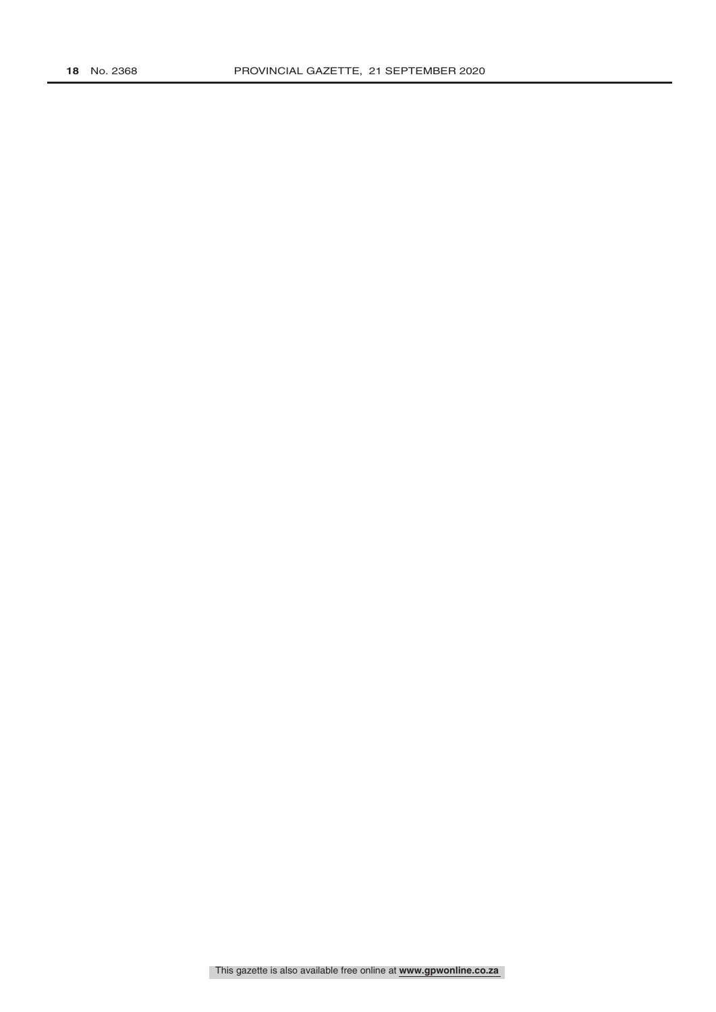This gazette is also available free online at **www.gpwonline.co.za**